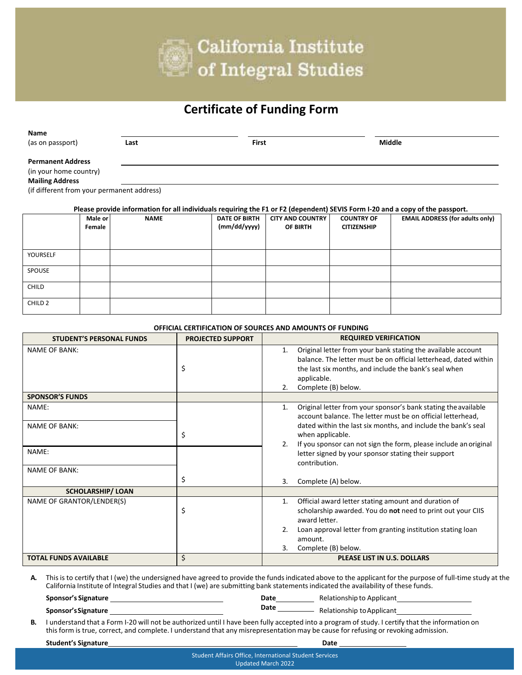

## **Certificate of Funding Form**

| Name                                                                                                                                                                                                                                                        |         |             |                      |                         |                    |                                        |  |  |
|-------------------------------------------------------------------------------------------------------------------------------------------------------------------------------------------------------------------------------------------------------------|---------|-------------|----------------------|-------------------------|--------------------|----------------------------------------|--|--|
| (as on passport)                                                                                                                                                                                                                                            |         | Last        |                      | <b>First</b>            |                    | <b>Middle</b>                          |  |  |
| <b>Permanent Address</b><br>(in your home country)<br><b>Mailing Address</b><br>(if different from your permanent address)<br>Please provide information for all individuals requiring the F1 or F2 (dependent) SEVIS Form I-20 and a copy of the passport. |         |             |                      |                         |                    |                                        |  |  |
|                                                                                                                                                                                                                                                             | Male or | <b>NAME</b> | <b>DATE OF BIRTH</b> | <b>CITY AND COUNTRY</b> | <b>COUNTRY OF</b>  | <b>EMAIL ADDRESS (for adults only)</b> |  |  |
|                                                                                                                                                                                                                                                             | Female  |             | (mm/dd/yyyy)         | OF BIRTH                | <b>CITIZENSHIP</b> |                                        |  |  |
| YOURSELF                                                                                                                                                                                                                                                    |         |             |                      |                         |                    |                                        |  |  |
| SPOUSE                                                                                                                                                                                                                                                      |         |             |                      |                         |                    |                                        |  |  |
| <b>CHILD</b>                                                                                                                                                                                                                                                |         |             |                      |                         |                    |                                        |  |  |

## **OFFICIAL CERTIFICATION OF SOURCES AND AMOUNTS OF FUNDING**

| <b>STUDENT'S PERSONAL FUNDS</b> | <b>PROJECTED SUPPORT</b> | <b>REQUIRED VERIFICATION</b>                                                                                                                                                                                                                                                                 |
|---------------------------------|--------------------------|----------------------------------------------------------------------------------------------------------------------------------------------------------------------------------------------------------------------------------------------------------------------------------------------|
| <b>NAME OF BANK:</b>            | \$                       | Original letter from your bank stating the available account<br>1.<br>balance. The letter must be on official letterhead, dated within<br>the last six months, and include the bank's seal when<br>applicable.<br>Complete (B) below.<br>2.                                                  |
| <b>SPONSOR'S FUNDS</b>          |                          |                                                                                                                                                                                                                                                                                              |
| NAME:<br><b>NAME OF BANK:</b>   | \$                       | Original letter from your sponsor's bank stating the available<br>1.<br>account balance. The letter must be on official letterhead,<br>dated within the last six months, and include the bank's seal<br>when applicable.<br>If you sponsor can not sign the form, please include an original |
| NAME:                           |                          | letter signed by your sponsor stating their support<br>contribution.                                                                                                                                                                                                                         |
| <b>NAME OF BANK:</b>            | \$                       | Complete (A) below.<br>3.                                                                                                                                                                                                                                                                    |
| <b>SCHOLARSHIP/ LOAN</b>        |                          |                                                                                                                                                                                                                                                                                              |
| NAME OF GRANTOR/LENDER(S)       | \$                       | Official award letter stating amount and duration of<br>1.<br>scholarship awarded. You do not need to print out your CIIS<br>award letter.<br>Loan approval letter from granting institution stating loan<br>2.                                                                              |
|                                 |                          | amount.<br>3.<br>Complete (B) below.                                                                                                                                                                                                                                                         |
| <b>TOTAL FUNDS AVAILABLE</b>    | \$                       | <b>PLEASE LIST IN U.S. DOLLARS</b>                                                                                                                                                                                                                                                           |

**A.** This is to certify that I (we) the undersigned have agreed to provide the fundsindicated above to the applicant for the purpose of full‐time study at the California Institute of Integral Studies and that I (we) are submitting bank statementsindicated the availability of these funds.

| <b>Sponsor's Signature</b> | Date | Relationship to Applicant |
|----------------------------|------|---------------------------|
| Sponsor's Signature        | Date | Relationship to Applicant |

**B.** I understand that a Form I‐20 will not be authorized until I have been fully accepted into a program of study. I certify that the information on this form is true, correct, and complete. I understand that any misrepresentationmay be cause for refusing or revoking admission.

**Student's Signature Date Date Date Date Date Date Date Date Date Date Date Date Date Date Date Date Date Date Date Date Date Date Date Date Date** 

CHILD 2

Student Affairs Office, International Student Services Updated March 2022